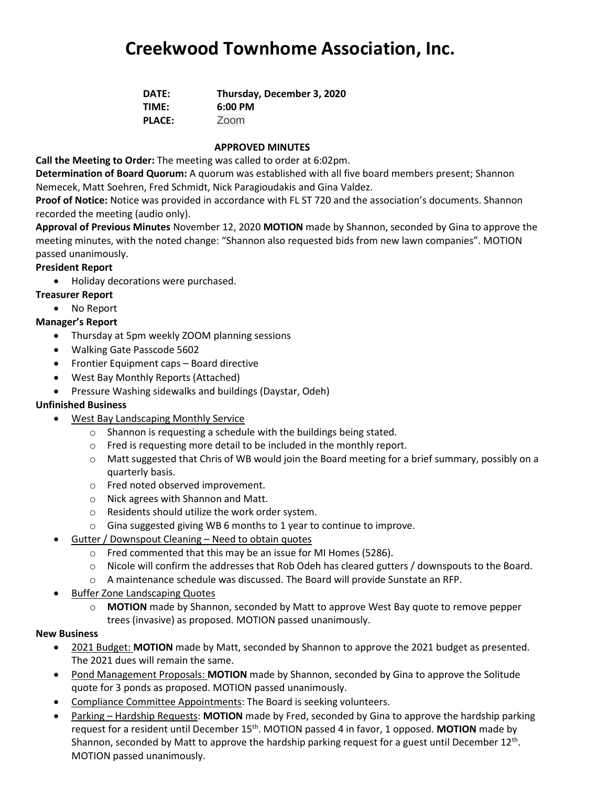# **Creekwood Townhome Association, Inc.**

| DATE:         | Thursday, December 3, 2020 |
|---------------|----------------------------|
| TIME:         | 6:00 PM                    |
| <b>PLACE:</b> | Zoom                       |

#### **APPROVED MINUTES**

**Call the Meeting to Order:** The meeting was called to order at 6:02pm.

**Determination of Board Quorum:** A quorum was established with all five board members present; Shannon Nemecek, Matt Soehren, Fred Schmidt, Nick Paragioudakis and Gina Valdez.

**Proof of Notice:** Notice was provided in accordance with FL ST 720 and the association's documents. Shannon recorded the meeting (audio only).

**Approval of Previous Minutes** November 12, 2020 **MOTION** made by Shannon, seconded by Gina to approve the meeting minutes, with the noted change: "Shannon also requested bids from new lawn companies". MOTION passed unanimously.

## **President Report**

• Holiday decorations were purchased.

## **Treasurer Report**

• No Report

## **Manager's Report**

- Thursday at 5pm weekly ZOOM planning sessions
- Walking Gate Passcode 5602
- Frontier Equipment caps Board directive
- West Bay Monthly Reports (Attached)
- Pressure Washing sidewalks and buildings (Daystar, Odeh)

### **Unfinished Business**

- West Bay Landscaping Monthly Service
	- o Shannon is requesting a schedule with the buildings being stated.
	- o Fred is requesting more detail to be included in the monthly report.
	- $\circ$  Matt suggested that Chris of WB would join the Board meeting for a brief summary, possibly on a quarterly basis.
	- o Fred noted observed improvement.
	- o Nick agrees with Shannon and Matt.
	- o Residents should utilize the work order system.
	- o Gina suggested giving WB 6 months to 1 year to continue to improve.
- Gutter / Downspout Cleaning Need to obtain quotes
	- o Fred commented that this may be an issue for MI Homes (5286).
	- $\circ$  Nicole will confirm the addresses that Rob Odeh has cleared gutters / downspouts to the Board.
	- o A maintenance schedule was discussed. The Board will provide Sunstate an RFP.
- Buffer Zone Landscaping Quotes
	- o **MOTION** made by Shannon, seconded by Matt to approve West Bay quote to remove pepper trees (invasive) as proposed. MOTION passed unanimously.

### **New Business**

- 2021 Budget: **MOTION** made by Matt, seconded by Shannon to approve the 2021 budget as presented. The 2021 dues will remain the same.
- Pond Management Proposals: **MOTION** made by Shannon, seconded by Gina to approve the Solitude quote for 3 ponds as proposed. MOTION passed unanimously.
- Compliance Committee Appointments: The Board is seeking volunteers.
- Parking Hardship Requests: **MOTION** made by Fred, seconded by Gina to approve the hardship parking request for a resident until December 15th. MOTION passed 4 in favor, 1 opposed. **MOTION** made by Shannon, seconded by Matt to approve the hardship parking request for a guest until December  $12^{\text{th}}$ . MOTION passed unanimously.